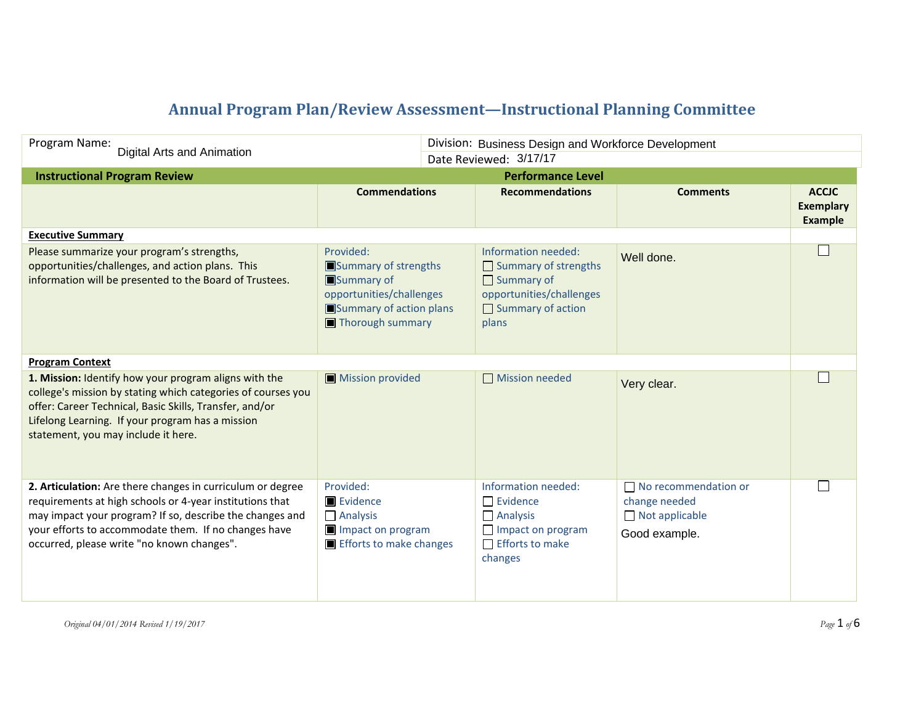## **Annual Program Plan/Review Assessment—Instructional Planning Committee**

| Program Name:<br>Digital Arts and Animation                                                                                                                                                                                                                                              |                                                                                                                            | Division: Business Design and Workforce Development |                                                                                                                                          |                                                                                        |                                             |
|------------------------------------------------------------------------------------------------------------------------------------------------------------------------------------------------------------------------------------------------------------------------------------------|----------------------------------------------------------------------------------------------------------------------------|-----------------------------------------------------|------------------------------------------------------------------------------------------------------------------------------------------|----------------------------------------------------------------------------------------|---------------------------------------------|
| <b>Instructional Program Review</b>                                                                                                                                                                                                                                                      | Date Reviewed: 3/17/17<br><b>Performance Level</b>                                                                         |                                                     |                                                                                                                                          |                                                                                        |                                             |
|                                                                                                                                                                                                                                                                                          | <b>Commendations</b>                                                                                                       |                                                     | <b>Recommendations</b>                                                                                                                   | <b>Comments</b>                                                                        | <b>ACCJC</b><br><b>Exemplary</b><br>Example |
| <b>Executive Summary</b>                                                                                                                                                                                                                                                                 |                                                                                                                            |                                                     |                                                                                                                                          |                                                                                        |                                             |
| Please summarize your program's strengths,<br>opportunities/challenges, and action plans. This<br>information will be presented to the Board of Trustees.                                                                                                                                | Provided:<br>Summary of strengths<br>Summary of<br>opportunities/challenges<br>Summary of action plans<br>Thorough summary |                                                     | Information needed:<br>$\Box$ Summary of strengths<br>$\Box$ Summary of<br>opportunities/challenges<br>$\Box$ Summary of action<br>plans | Well done.                                                                             | $\mathbf{I}$                                |
| <b>Program Context</b>                                                                                                                                                                                                                                                                   |                                                                                                                            |                                                     |                                                                                                                                          |                                                                                        |                                             |
| 1. Mission: Identify how your program aligns with the<br>college's mission by stating which categories of courses you<br>offer: Career Technical, Basic Skills, Transfer, and/or<br>Lifelong Learning. If your program has a mission<br>statement, you may include it here.              | Mission provided                                                                                                           |                                                     | Mission needed                                                                                                                           | Very clear.                                                                            |                                             |
| 2. Articulation: Are there changes in curriculum or degree<br>requirements at high schools or 4-year institutions that<br>may impact your program? If so, describe the changes and<br>your efforts to accommodate them. If no changes have<br>occurred, please write "no known changes". | Provided:<br>Evidence<br>$\Box$ Analysis<br>Impact on program<br>Efforts to make changes                                   |                                                     | Information needed:<br>$\Box$ Evidence<br>$\Box$ Analysis<br>Impact on program<br>$\Box$ Efforts to make<br>changes                      | $\Box$ No recommendation or<br>change needed<br>$\Box$ Not applicable<br>Good example. |                                             |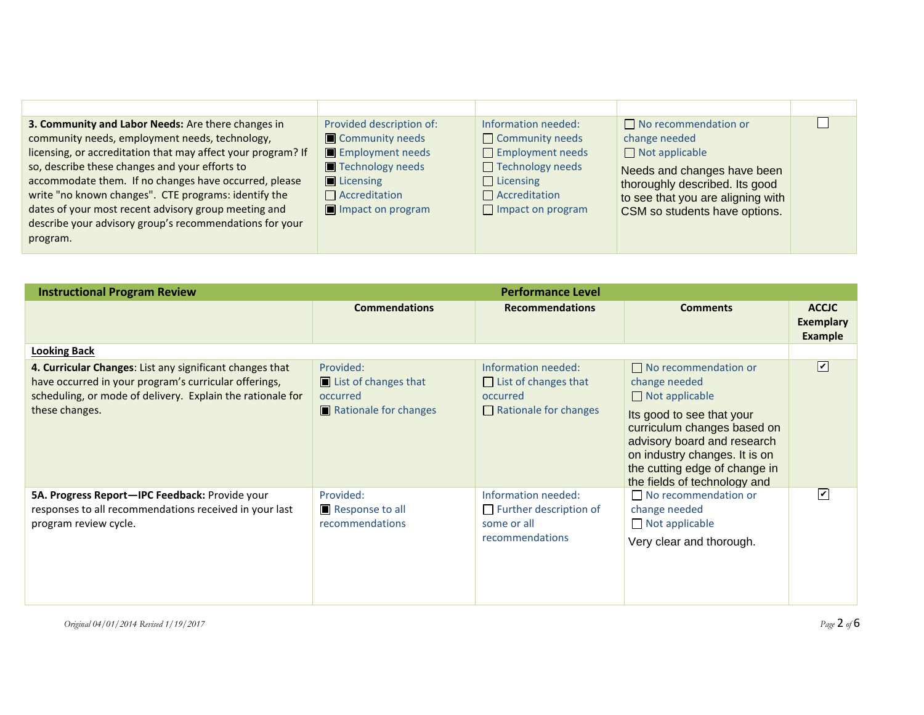| 3. Community and Labor Needs: Are there changes in<br>community needs, employment needs, technology,<br>licensing, or accreditation that may affect your program? If<br>so, describe these changes and your efforts to<br>accommodate them. If no changes have occurred, please<br>write "no known changes". CTE programs: identify the | Provided description of:<br>Community needs<br>Employment needs<br>Technology needs<br>$\blacksquare$ Licensing<br>$\Box$ Accreditation | Information needed:<br>$\Box$ Community needs<br>$\Box$ Employment needs<br>$\Box$ Technology needs<br>$\Box$ Licensing<br>$\Box$ Accreditation | $\Box$ No recommendation or<br>change needed<br>$\Box$ Not applicable<br>Needs and changes have been<br>thoroughly described. Its good<br>to see that you are aligning with |  |
|-----------------------------------------------------------------------------------------------------------------------------------------------------------------------------------------------------------------------------------------------------------------------------------------------------------------------------------------|-----------------------------------------------------------------------------------------------------------------------------------------|-------------------------------------------------------------------------------------------------------------------------------------------------|-----------------------------------------------------------------------------------------------------------------------------------------------------------------------------|--|
| dates of your most recent advisory group meeting and<br>describe your advisory group's recommendations for your<br>program.                                                                                                                                                                                                             | Impact on program                                                                                                                       | $\Box$ Impact on program                                                                                                                        | CSM so students have options.                                                                                                                                               |  |

| <b>Instructional Program Review</b>                                                                                                                                                               | <b>Performance Level</b>                                               |                                                                                                |                                                                                                                                                                                                                                                                    |                                                    |
|---------------------------------------------------------------------------------------------------------------------------------------------------------------------------------------------------|------------------------------------------------------------------------|------------------------------------------------------------------------------------------------|--------------------------------------------------------------------------------------------------------------------------------------------------------------------------------------------------------------------------------------------------------------------|----------------------------------------------------|
|                                                                                                                                                                                                   | <b>Commendations</b>                                                   | <b>Recommendations</b>                                                                         | <b>Comments</b>                                                                                                                                                                                                                                                    | <b>ACCJC</b><br><b>Exemplary</b><br><b>Example</b> |
| <b>Looking Back</b>                                                                                                                                                                               |                                                                        |                                                                                                |                                                                                                                                                                                                                                                                    |                                                    |
| 4. Curricular Changes: List any significant changes that<br>have occurred in your program's curricular offerings,<br>scheduling, or mode of delivery. Explain the rationale for<br>these changes. | Provided:<br>List of changes that<br>occurred<br>Rationale for changes | Information needed:<br>$\Box$ List of changes that<br>occurred<br>$\Box$ Rationale for changes | $\Box$ No recommendation or<br>change needed<br>$\Box$ Not applicable<br>Its good to see that your<br>curriculum changes based on<br>advisory board and research<br>on industry changes. It is on<br>the cutting edge of change in<br>the fields of technology and | $\boxed{\mathbf{v}}$                               |
| 5A. Progress Report-IPC Feedback: Provide your<br>responses to all recommendations received in your last<br>program review cycle.                                                                 | Provided:<br>Response to all<br>recommendations                        | Information needed:<br>$\Box$ Further description of<br>some or all<br>recommendations         | No recommendation or<br>change needed<br>$\Box$ Not applicable<br>Very clear and thorough.                                                                                                                                                                         | $\overline{\mathsf{v}}$                            |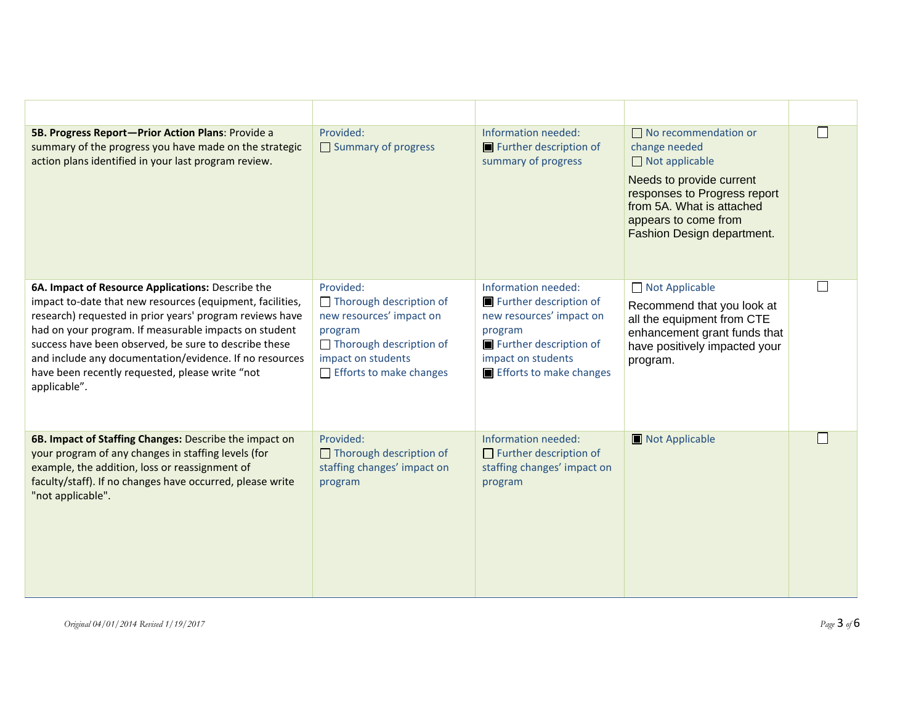| 5B. Progress Report-Prior Action Plans: Provide a<br>summary of the progress you have made on the strategic<br>action plans identified in your last program review.                                                                                                                                                                                                                                                        | Provided:<br>Summary of progress                                                                                                                               | Information needed:<br>Further description of<br>summary of progress                                                                                            | $\Box$ No recommendation or<br>change needed<br>$\Box$ Not applicable<br>Needs to provide current<br>responses to Progress report<br>from 5A. What is attached<br>appears to come from<br>Fashion Design department. |  |
|----------------------------------------------------------------------------------------------------------------------------------------------------------------------------------------------------------------------------------------------------------------------------------------------------------------------------------------------------------------------------------------------------------------------------|----------------------------------------------------------------------------------------------------------------------------------------------------------------|-----------------------------------------------------------------------------------------------------------------------------------------------------------------|----------------------------------------------------------------------------------------------------------------------------------------------------------------------------------------------------------------------|--|
| 6A. Impact of Resource Applications: Describe the<br>impact to-date that new resources (equipment, facilities,<br>research) requested in prior years' program reviews have<br>had on your program. If measurable impacts on student<br>success have been observed, be sure to describe these<br>and include any documentation/evidence. If no resources<br>have been recently requested, please write "not<br>applicable". | Provided:<br>Thorough description of<br>new resources' impact on<br>program<br>Thorough description of<br>impact on students<br>$\Box$ Efforts to make changes | Information needed:<br>Further description of<br>new resources' impact on<br>program<br>Further description of<br>impact on students<br>Efforts to make changes | Not Applicable<br>Recommend that you look at<br>all the equipment from CTE<br>enhancement grant funds that<br>have positively impacted your<br>program.                                                              |  |
| 6B. Impact of Staffing Changes: Describe the impact on<br>your program of any changes in staffing levels (for<br>example, the addition, loss or reassignment of<br>faculty/staff). If no changes have occurred, please write<br>"not applicable".                                                                                                                                                                          | Provided:<br>$\Box$ Thorough description of<br>staffing changes' impact on<br>program                                                                          | Information needed:<br>$\Box$ Further description of<br>staffing changes' impact on<br>program                                                                  | Not Applicable                                                                                                                                                                                                       |  |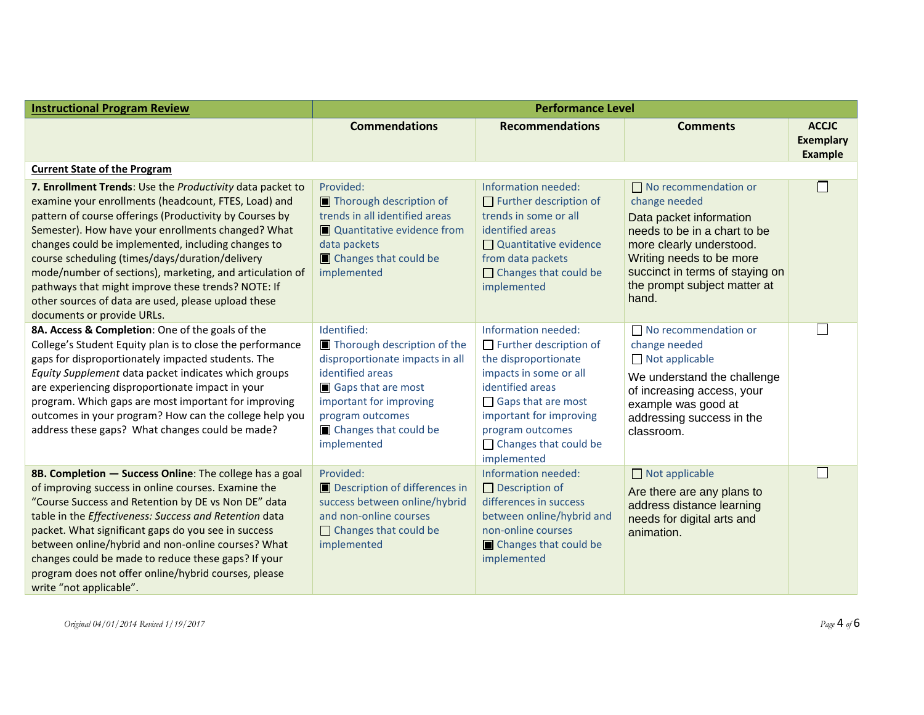| <b>Instructional Program Review</b>                                                                                                                                                                                                                                                                                                                                                                                                                                                                                                                | <b>Performance Level</b>                                                                                                                                                                                       |                                                                                                                                                                                                                                                |                                                                                                                                                                                                                                             |                                                    |
|----------------------------------------------------------------------------------------------------------------------------------------------------------------------------------------------------------------------------------------------------------------------------------------------------------------------------------------------------------------------------------------------------------------------------------------------------------------------------------------------------------------------------------------------------|----------------------------------------------------------------------------------------------------------------------------------------------------------------------------------------------------------------|------------------------------------------------------------------------------------------------------------------------------------------------------------------------------------------------------------------------------------------------|---------------------------------------------------------------------------------------------------------------------------------------------------------------------------------------------------------------------------------------------|----------------------------------------------------|
|                                                                                                                                                                                                                                                                                                                                                                                                                                                                                                                                                    | <b>Commendations</b>                                                                                                                                                                                           | <b>Recommendations</b>                                                                                                                                                                                                                         | <b>Comments</b>                                                                                                                                                                                                                             | <b>ACCJC</b><br><b>Exemplary</b><br><b>Example</b> |
| <b>Current State of the Program</b>                                                                                                                                                                                                                                                                                                                                                                                                                                                                                                                |                                                                                                                                                                                                                |                                                                                                                                                                                                                                                |                                                                                                                                                                                                                                             |                                                    |
| 7. Enrollment Trends: Use the Productivity data packet to<br>examine your enrollments (headcount, FTES, Load) and<br>pattern of course offerings (Productivity by Courses by<br>Semester). How have your enrollments changed? What<br>changes could be implemented, including changes to<br>course scheduling (times/days/duration/delivery<br>mode/number of sections), marketing, and articulation of<br>pathways that might improve these trends? NOTE: If<br>other sources of data are used, please upload these<br>documents or provide URLs. | Provided:<br>Thorough description of<br>trends in all identified areas<br>Quantitative evidence from<br>data packets<br>Changes that could be<br>implemented                                                   | Information needed:<br>$\Box$ Further description of<br>trends in some or all<br>identified areas<br>Quantitative evidence<br>from data packets<br>$\Box$ Changes that could be<br>implemented                                                 | $\Box$ No recommendation or<br>change needed<br>Data packet information<br>needs to be in a chart to be<br>more clearly understood.<br>Writing needs to be more<br>succinct in terms of staying on<br>the prompt subject matter at<br>hand. |                                                    |
| 8A. Access & Completion: One of the goals of the<br>College's Student Equity plan is to close the performance<br>gaps for disproportionately impacted students. The<br>Equity Supplement data packet indicates which groups<br>are experiencing disproportionate impact in your<br>program. Which gaps are most important for improving<br>outcomes in your program? How can the college help you<br>address these gaps? What changes could be made?                                                                                               | Identified:<br>Thorough description of the<br>disproportionate impacts in all<br>identified areas<br>Gaps that are most<br>important for improving<br>program outcomes<br>Changes that could be<br>implemented | Information needed:<br>$\Box$ Further description of<br>the disproportionate<br>impacts in some or all<br>identified areas<br>Gaps that are most<br>important for improving<br>program outcomes<br>$\Box$ Changes that could be<br>implemented | $\Box$ No recommendation or<br>change needed<br>Not applicable<br>We understand the challenge<br>of increasing access, your<br>example was good at<br>addressing success in the<br>classroom.                                               |                                                    |
| 8B. Completion - Success Online: The college has a goal<br>of improving success in online courses. Examine the<br>"Course Success and Retention by DE vs Non DE" data<br>table in the Effectiveness: Success and Retention data<br>packet. What significant gaps do you see in success<br>between online/hybrid and non-online courses? What<br>changes could be made to reduce these gaps? If your<br>program does not offer online/hybrid courses, please<br>write "not applicable".                                                             | Provided:<br>Description of differences in<br>success between online/hybrid<br>and non-online courses<br>$\Box$ Changes that could be<br>implemented                                                           | Information needed:<br>$\Box$ Description of<br>differences in success<br>between online/hybrid and<br>non-online courses<br>Changes that could be<br>implemented                                                                              | $\Box$ Not applicable<br>Are there are any plans to<br>address distance learning<br>needs for digital arts and<br>animation.                                                                                                                |                                                    |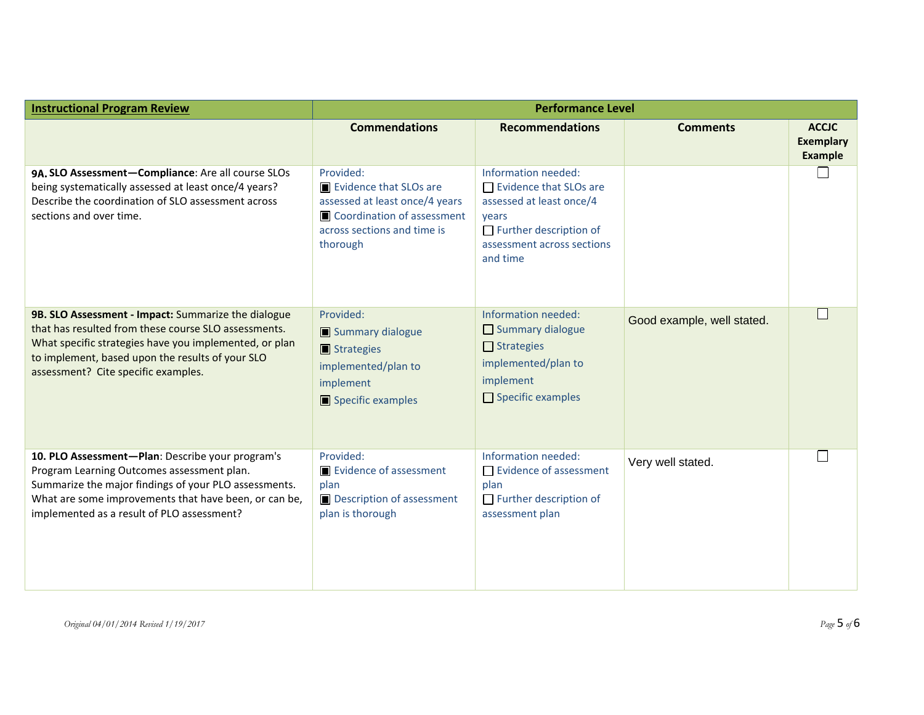| <b>Instructional Program Review</b>                                                                                                                                                                                                                              | <b>Performance Level</b>                                                                                                                       |                                                                                                                                                               |                            |                                                    |
|------------------------------------------------------------------------------------------------------------------------------------------------------------------------------------------------------------------------------------------------------------------|------------------------------------------------------------------------------------------------------------------------------------------------|---------------------------------------------------------------------------------------------------------------------------------------------------------------|----------------------------|----------------------------------------------------|
|                                                                                                                                                                                                                                                                  | <b>Commendations</b>                                                                                                                           | <b>Recommendations</b>                                                                                                                                        | <b>Comments</b>            | <b>ACCJC</b><br><b>Exemplary</b><br><b>Example</b> |
| 9A. SLO Assessment-Compliance: Are all course SLOs<br>being systematically assessed at least once/4 years?<br>Describe the coordination of SLO assessment across<br>sections and over time.                                                                      | Provided:<br>Evidence that SLOs are<br>assessed at least once/4 years<br>Coordination of assessment<br>across sections and time is<br>thorough | Information needed:<br>$\Box$ Evidence that SLOs are<br>assessed at least once/4<br>years<br>Further description of<br>assessment across sections<br>and time |                            |                                                    |
| 9B. SLO Assessment - Impact: Summarize the dialogue<br>that has resulted from these course SLO assessments.<br>What specific strategies have you implemented, or plan<br>to implement, based upon the results of your SLO<br>assessment? Cite specific examples. | Provided:<br>Summary dialogue<br>Strategies<br>implemented/plan to<br>implement<br>Specific examples                                           | Information needed:<br>$\Box$ Summary dialogue<br>$\Box$ Strategies<br>implemented/plan to<br>implement<br>$\Box$ Specific examples                           | Good example, well stated. |                                                    |
| 10. PLO Assessment-Plan: Describe your program's<br>Program Learning Outcomes assessment plan.<br>Summarize the major findings of your PLO assessments.<br>What are some improvements that have been, or can be,<br>implemented as a result of PLO assessment?   | Provided:<br>Evidence of assessment<br>plan<br>Description of assessment<br>plan is thorough                                                   | Information needed:<br>$\Box$ Evidence of assessment<br>plan<br>$\Box$ Further description of<br>assessment plan                                              | Very well stated.          | $\mathbf{L}$                                       |